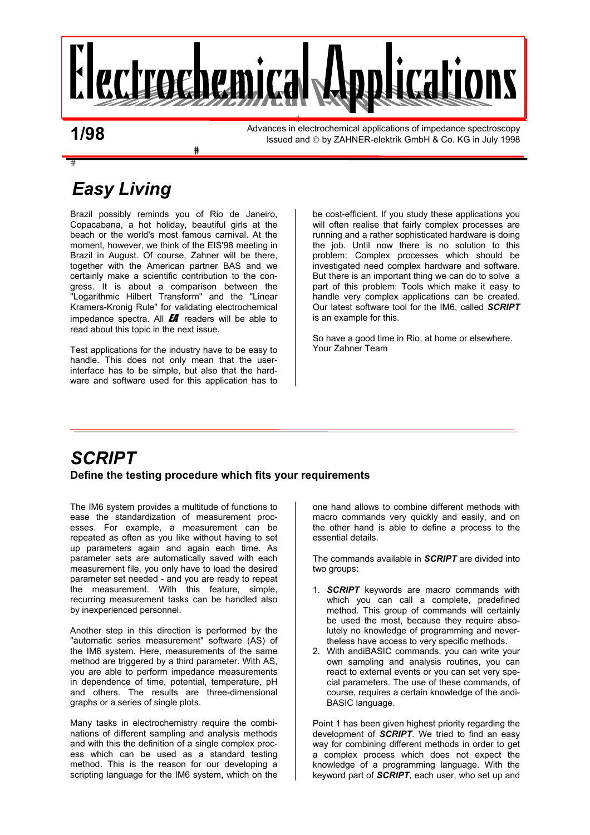

**1/98** 

 $\overline{\ddagger}$ 

Advances in electrochemical applications of impedance spectroscopy Issued and © by ZAHNER-elektrik GmbH & Co. KG in July 1998

# *Easy Living*

Brazil possibly reminds you of Rio de Janeiro, Copacabana, a hot holiday, beautiful girls at the beach or the world's most famous carnival. At the moment, however, we think of the EIS'98 meeting in Brazil in August. Of course, Zahner will be there, together with the American partner BAS and we certainly make a scientific contribution to the congress. It is about a comparison between the "Logarithmic Hilbert Transform" and the "Linear Kramers-Kronig Rule" for validating electrochemical impedance spectra. All  $H$  readers will be able to read about this topic in the next issue.

⋕

Test applications for the industry have to be easy to handle. This does not only mean that the userinterface has to be simple, but also that the hardware and software used for this application has to be cost-efficient. If you study these applications you will often realise that fairly complex processes are running and a rather sophisticated hardware is doing the job. Until now there is no solution to this problem: Complex processes which should be investigated need complex hardware and software. But there is an important thing we can do to solve a part of this problem: Tools which make it easy to handle very complex applications can be created. Our latest software tool for the IM6, called *SCRIPT* is an example for this.

So have a good time in Rio, at home or elsewhere. Your Zahner Team

### *SCRIPT*  **Define the testing procedure which fits your requirements**

The IM6 system provides a multitude of functions to ease the standardization of measurement processes. For example, a measurement can be repeated as often as you like without having to set up parameters again and again each time. As parameter sets are automatically saved with each measurement file, you only have to load the desired parameter set needed - and you are ready to repeat the measurement. With this feature, simple, recurring measurement tasks can be handled also by inexperienced personnel.

Another step in this direction is performed by the "automatic series measurement" software (AS) of the IM6 system. Here, measurements of the same method are triggered by a third parameter. With AS, you are able to perform impedance measurements in dependence of time, potential, temperature, pH and others. The results are three-dimensional graphs or a series of single plots.

Many tasks in electrochemistry require the combinations of different sampling and analysis methods and with this the definition of a single complex process which can be used as a standard testing method. This is the reason for our developing a scripting language for the IM6 system, which on the one hand allows to combine different methods with macro commands very quickly and easily, and on the other hand is able to define a process to the essential details.

The commands available in *SCRIPT* are divided into two groups:

- 1. *SCRIPT* keywords are macro commands with which you can call a complete, predefined method. This group of commands will certainly be used the most, because they require absolutely no knowledge of programming and nevertheless have access to very specific methods.
- 2. With andiBASIC commands, you can write your own sampling and analysis routines, you can react to external events or you can set very special parameters. The use of these commands, of course, requires a certain knowledge of the andi-BASIC language.

Point 1 has been given highest priority regarding the development of *SCRIPT*. We tried to find an easy way for combining different methods in order to get a complex process which does not expect the knowledge of a programming language. With the keyword part of *SCRIPT*, each user, who set up and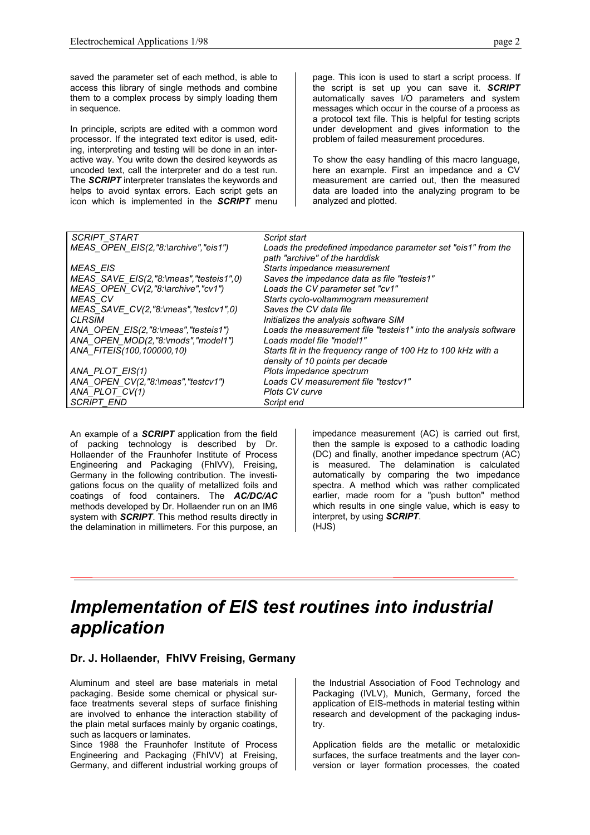saved the parameter set of each method, is able to access this library of single methods and combine them to a complex process by simply loading them in sequence.

In principle, scripts are edited with a common word processor. If the integrated text editor is used, editing, interpreting and testing will be done in an interactive way. You write down the desired keywords as uncoded text, call the interpreter and do a test run. The *SCRIPT* interpreter translates the keywords and helps to avoid syntax errors. Each script gets an icon which is implemented in the *SCRIPT* menu

page. This icon is used to start a script process. If the script is set up you can save it. *SCRIPT* automatically saves I/O parameters and system messages which occur in the course of a process as a protocol text file. This is helpful for testing scripts under development and gives information to the problem of failed measurement procedures.

To show the easy handling of this macro language, here an example. First an impedance and a CV measurement are carried out, then the measured data are loaded into the analyzing program to be analyzed and plotted.

| <b>SCRIPT START</b>                              | Script start                                                     |
|--------------------------------------------------|------------------------------------------------------------------|
| MEAS_OPEN_EIS(2,"8:\archive","eis1")             | Loads the predefined impedance parameter set "eis1" from the     |
|                                                  | path "archive" of the harddisk                                   |
| MEAS EIS                                         | Starts impedance measurement                                     |
| $MEAS$ SAVE $EIS(2, "8:\)$ meas", "testeis1", 0) | Saves the impedance data as file "testeis1"                      |
| $MEAS$ OPEN $CV(2, "8:\arrow "or1"')$            | Loads the CV parameter set "cv1"                                 |
| MEAS CV                                          | Starts cyclo-voltammogram measurement                            |
| $MEAS$ SAVE $CV(2, "8:\)$ meas", "testcv1", 0)   | Saves the CV data file                                           |
| <b>CLRSIM</b>                                    | Initializes the analysis software SIM                            |
| ANA_OPEN_EIS(2,"8:\meas","testeis1")             | Loads the measurement file "testeis1" into the analysis software |
| ANA_OPEN_MOD(2,"8:\mods","model1")               | Loads model file "model1"                                        |
| ANA FITEIS(100,100000,10)                        | Starts fit in the frequency range of 100 Hz to 100 kHz with a    |
|                                                  | density of 10 points per decade                                  |
| ANA_PLOT_EIS(1)                                  | Plots impedance spectrum                                         |
| ANA_OPEN_CV(2,"8:\meas","testcv1")               | Loads CV measurement file "testcv1"                              |
| ANA_PLOT_CV(1)                                   | Plots CV curve                                                   |
| <b>SCRIPT END</b>                                | Script end                                                       |

An example of a *SCRIPT* application from the field of packing technology is described by Dr. Hollaender of the Fraunhofer Institute of Process Engineering and Packaging (FhIVV), Freising, Germany in the following contribution. The investigations focus on the quality of metallized foils and coatings of food containers. The *AC/DC/AC* methods developed by Dr. Hollaender run on an IM6 system with *SCRIPT*. This method results directly in the delamination in millimeters. For this purpose, an impedance measurement (AC) is carried out first, then the sample is exposed to a cathodic loading (DC) and finally, another impedance spectrum (AC) is measured. The delamination is calculated automatically by comparing the two impedance spectra. A method which was rather complicated earlier, made room for a "push button" method which results in one single value, which is easy to interpret, by using *SCRIPT*. (HJS)

## *Implementation of EIS test routines into industrial application*

#### **Dr. J. Hollaender, FhIVV Freising, Germany**

Aluminum and steel are base materials in metal packaging. Beside some chemical or physical surface treatments several steps of surface finishing are involved to enhance the interaction stability of the plain metal surfaces mainly by organic coatings, such as lacquers or laminates.

Since 1988 the Fraunhofer Institute of Process Engineering and Packaging (FhIVV) at Freising, Germany, and different industrial working groups of the Industrial Association of Food Technology and Packaging (IVLV), Munich, Germany, forced the application of EIS-methods in material testing within research and development of the packaging industry.

Application fields are the metallic or metaloxidic surfaces, the surface treatments and the layer conversion or layer formation processes, the coated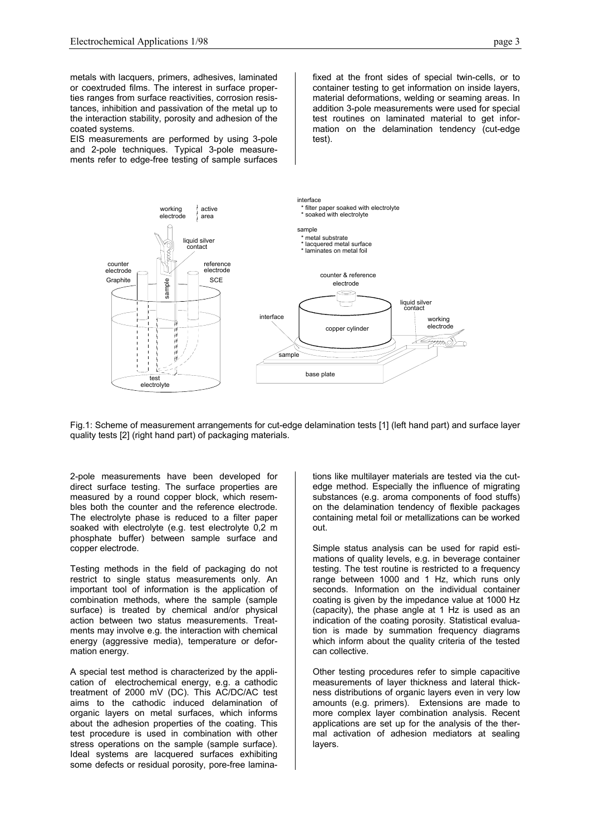metals with lacquers, primers, adhesives, laminated or coextruded films. The interest in surface properties ranges from surface reactivities, corrosion resistances, inhibition and passivation of the metal up to the interaction stability, porosity and adhesion of the coated systems.

EIS measurements are performed by using 3-pole and 2-pole techniques. Typical 3-pole measurements refer to edge-free testing of sample surfaces fixed at the front sides of special twin-cells, or to container testing to get information on inside layers, material deformations, welding or seaming areas. In addition 3-pole measurements were used for special test routines on laminated material to get information on the delamination tendency (cut-edge test).



Fig.1: Scheme of measurement arrangements for cut-edge delamination tests [1] (left hand part) and surface layer quality tests [2] (right hand part) of packaging materials.

2-pole measurements have been developed for direct surface testing. The surface properties are measured by a round copper block, which resembles both the counter and the reference electrode. The electrolyte phase is reduced to a filter paper soaked with electrolyte (e.g. test electrolyte 0,2 m phosphate buffer) between sample surface and copper electrode.

Testing methods in the field of packaging do not restrict to single status measurements only. An important tool of information is the application of combination methods, where the sample (sample surface) is treated by chemical and/or physical action between two status measurements. Treatments may involve e.g. the interaction with chemical energy (aggressive media), temperature or deformation energy.

A special test method is characterized by the application of electrochemical energy, e.g. a cathodic treatment of 2000 mV (DC). This AC/DC/AC test aims to the cathodic induced delamination of organic layers on metal surfaces, which informs about the adhesion properties of the coating. This test procedure is used in combination with other stress operations on the sample (sample surface). Ideal systems are lacquered surfaces exhibiting some defects or residual porosity, pore-free laminations like multilayer materials are tested via the cutedge method. Especially the influence of migrating substances (e.g. aroma components of food stuffs) on the delamination tendency of flexible packages containing metal foil or metallizations can be worked out.

Simple status analysis can be used for rapid estimations of quality levels, e.g. in beverage container testing. The test routine is restricted to a frequency range between 1000 and 1 Hz, which runs only seconds. Information on the individual container coating is given by the impedance value at 1000 Hz (capacity), the phase angle at 1 Hz is used as an indication of the coating porosity. Statistical evaluation is made by summation frequency diagrams which inform about the quality criteria of the tested can collective.

Other testing procedures refer to simple capacitive measurements of layer thickness and lateral thickness distributions of organic layers even in very low amounts (e.g. primers). Extensions are made to more complex layer combination analysis. Recent applications are set up for the analysis of the thermal activation of adhesion mediators at sealing layers.